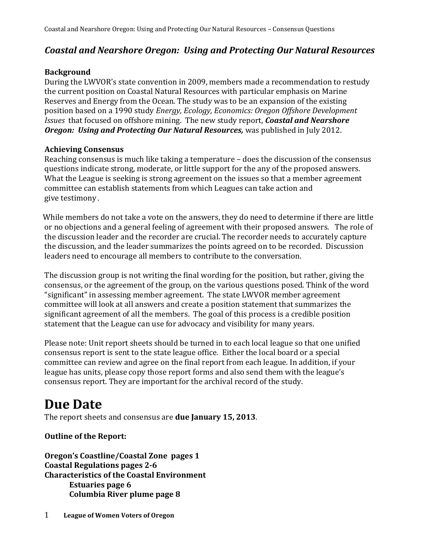## *Coastal and Nearshore Oregon: Using and Protecting Our Natural Resources*

#### **Background**

During the LWVOR's state convention in 2009, members made a recommendation to restudy the current position on Coastal Natural Resources with particular emphasis on Marine Reserves and Energy from the Ocean. The study was to be an expansion of the existing position based on a 1990 study *Energy, Ecology, Economics: Oregon Offshore Development Issues* that focused on offshore mining. The new study report, *Coastal and Nearshore Oregon: Using and Protecting Our Natural Resources, was published in July 2012.* 

#### **Achieving Consensus**

Reaching consensus is much like taking a temperature – does the discussion of the consensus questions indicate strong, moderate, or little support for the any of the proposed answers. What the League is seeking is strong agreement on the issues so that a member agreement committee can establish statements from which Leagues can take action and give testimony.

 While members do not take a vote on the answers, they do need to determine if there are little or no objections and a general feeling of agreement with their proposed answers. The role of the discussion leader and the recorder are crucial. The recorder needs to accurately capture the discussion, and the leader summarizes the points agreed on to be recorded. Discussion leaders need to encourage all members to contribute to the conversation.

The discussion group is not writing the final wording for the position, but rather, giving the consensus, or the agreement of the group, on the various questions posed. Think of the word "significant" in assessing member agreement. The state LWVOR member agreement committee will look at all answers and create a position statement that summarizes the significant agreement of all the members. The goal of this process is a credible position statement that the League can use for advocacy and visibility for many years.

Please note: Unit report sheets should be turned in to each local league so that one unified consensus report is sent to the state league office. Either the local board or a special committee can review and agree on the final report from each league. In addition, if your league has units, please copy those report forms and also send them with the league's consensus report. They are important for the archival record of the study.

# **Due Date**

The report sheets and consensus are **due January 15, 2013**.

### **Outline of the Report:**

**Oregon's Coastline/Coastal Zone pages 1 Coastal Regulations pages 2-6 Characteristics of the Coastal Environment Estuaries page 6 Columbia River plume page 8**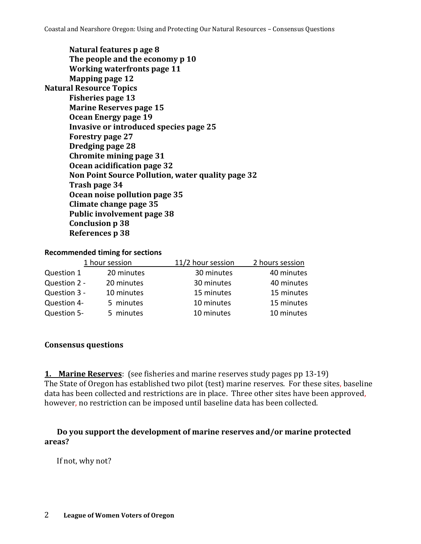| Natural features p age 8                          |
|---------------------------------------------------|
| The people and the economy p 10                   |
| <b>Working waterfronts page 11</b>                |
| <b>Mapping page 12</b>                            |
| <b>Natural Resource Topics</b>                    |
| <b>Fisheries page 13</b>                          |
| <b>Marine Reserves page 15</b>                    |
| Ocean Energy page 19                              |
| Invasive or introduced species page 25            |
| <b>Forestry page 27</b>                           |
| Dredging page 28                                  |
| <b>Chromite mining page 31</b>                    |
| Ocean acidification page 32                       |
| Non Point Source Pollution, water quality page 32 |
| Trash page 34                                     |
| Ocean noise pollution page 35                     |
| Climate change page 35                            |
| Public involvement page 38                        |
| <b>Conclusion p 38</b>                            |
| <b>References p 38</b>                            |
|                                                   |

#### **Recommended timing for sections**

| 1 hour session |            | 11/2 hour session | 2 hours session |
|----------------|------------|-------------------|-----------------|
| Question 1     | 20 minutes | 30 minutes        | 40 minutes      |
| Question 2 -   | 20 minutes | 30 minutes        | 40 minutes      |
| Question 3 -   | 10 minutes | 15 minutes        | 15 minutes      |
| Question 4-    | 5 minutes  | 10 minutes        | 15 minutes      |
| Question 5-    | 5 minutes  | 10 minutes        | 10 minutes      |

#### **Consensus questions**

**1. Marine Reserves**: (see fisheries and marine reserves study pages pp 13-19) The State of Oregon has established two pilot (test) marine reserves. For these sites, baseline data has been collected and restrictions are in place. Three other sites have been approved, however, no restriction can be imposed until baseline data has been collected.

**Do you support the development of marine reserves and/or marine protected areas?**

If not, why not?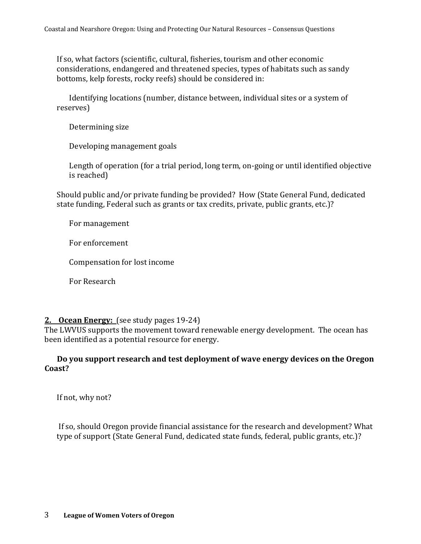If so, what factors (scientific, cultural, fisheries, tourism and other economic considerations, endangered and threatened species, types of habitats such as sandy bottoms, kelp forests, rocky reefs) should be considered in:

Identifying locations (number, distance between, individual sites or a system of reserves)

Determining size

Developing management goals

Length of operation (for a trial period, long term, on-going or until identified objective is reached)

Should public and/or private funding be provided? How (State General Fund, dedicated state funding, Federal such as grants or tax credits, private, public grants, etc.)?

For management

For enforcement

Compensation for lost income

For Research

#### **2. Ocean Energy:** (see study pages 19-24)

The LWVUS supports the movement toward renewable energy development. The ocean has been identified as a potential resource for energy.

#### **Do you support research and test deployment of wave energy devices on the Oregon Coast?**

If not, why not?

If so, should Oregon provide financial assistance for the research and development? What type of support (State General Fund, dedicated state funds, federal, public grants, etc.)?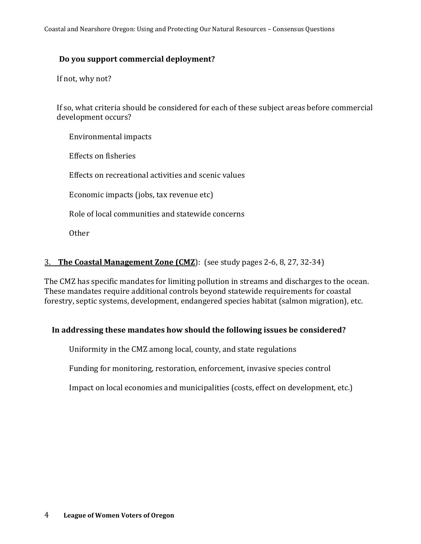#### **Do you support commercial deployment?**

If not, why not?

If so, what criteria should be considered for each of these subject areas before commercial development occurs?

Environmental impacts

Effects on fisheries

Effects on recreational activities and scenic values

Economic impacts (jobs, tax revenue etc)

Role of local communities and statewide concerns

**Other** 

#### 3. **The Coastal Management Zone (CMZ**): (see study pages 2-6, 8, 27, 32-34)

The CMZ has specific mandates for limiting pollution in streams and discharges to the ocean. These mandates require additional controls beyond statewide requirements for coastal forestry, septic systems, development, endangered species habitat (salmon migration), etc.

#### **In addressing these mandates how should the following issues be considered?**

Uniformity in the CMZ among local, county, and state regulations

Funding for monitoring, restoration, enforcement, invasive species control

Impact on local economies and municipalities (costs, effect on development, etc.)